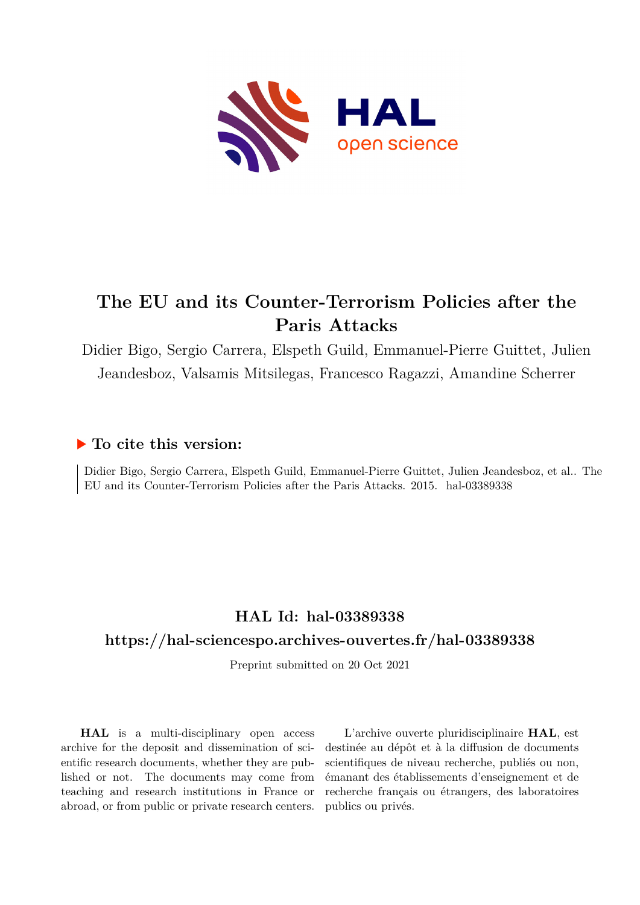

# **The EU and its Counter-Terrorism Policies after the Paris Attacks**

Didier Bigo, Sergio Carrera, Elspeth Guild, Emmanuel-Pierre Guittet, Julien Jeandesboz, Valsamis Mitsilegas, Francesco Ragazzi, Amandine Scherrer

## **To cite this version:**

Didier Bigo, Sergio Carrera, Elspeth Guild, Emmanuel-Pierre Guittet, Julien Jeandesboz, et al.. The EU and its Counter-Terrorism Policies after the Paris Attacks. 2015. hal-03389338

## **HAL Id: hal-03389338**

## **<https://hal-sciencespo.archives-ouvertes.fr/hal-03389338>**

Preprint submitted on 20 Oct 2021

**HAL** is a multi-disciplinary open access archive for the deposit and dissemination of scientific research documents, whether they are published or not. The documents may come from teaching and research institutions in France or abroad, or from public or private research centers.

L'archive ouverte pluridisciplinaire **HAL**, est destinée au dépôt et à la diffusion de documents scientifiques de niveau recherche, publiés ou non, émanant des établissements d'enseignement et de recherche français ou étrangers, des laboratoires publics ou privés.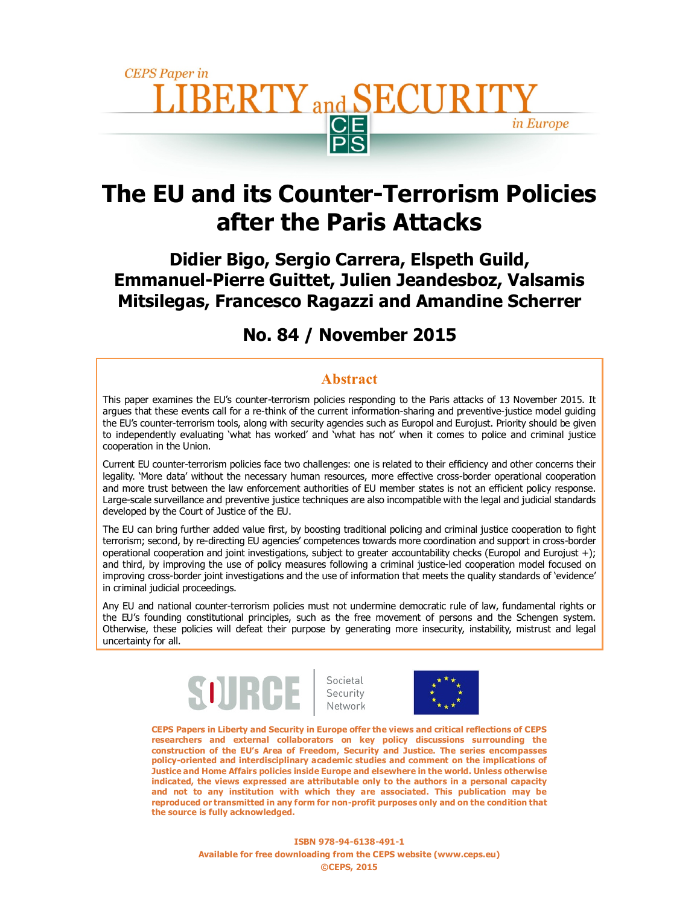

# **The EU and its Counter-Terrorism Policies after the Paris Attacks**

**Didier Bigo, Sergio Carrera, Elspeth Guild, Emmanuel-Pierre Guittet, Julien Jeandesboz, Valsamis Mitsilegas, Francesco Ragazzi and Amandine Scherrer** 

## **No. 84 / November 2015**

#### **Abstract**

This paper examines the EU's counter-terrorism policies responding to the Paris attacks of 13 November 2015. It argues that these events call for a re-think of the current information-sharing and preventive-justice model guiding the EU's counter-terrorism tools, along with security agencies such as Europol and Eurojust. Priority should be given to independently evaluating 'what has worked' and 'what has not' when it comes to police and criminal justice cooperation in the Union.

Current EU counter-terrorism policies face two challenges: one is related to their efficiency and other concerns their legality. 'More data' without the necessary human resources, more effective cross-border operational cooperation and more trust between the law enforcement authorities of EU member states is not an efficient policy response. Large-scale surveillance and preventive justice techniques are also incompatible with the legal and judicial standards developed by the Court of Justice of the EU.

The EU can bring further added value first, by boosting traditional policing and criminal justice cooperation to fight terrorism; second, by re-directing EU agencies' competences towards more coordination and support in cross-border operational cooperation and joint investigations, subject to greater accountability checks (Europol and Eurojust +); and third, by improving the use of policy measures following a criminal justice-led cooperation model focused on improving cross-border joint investigations and the use of information that meets the quality standards of 'evidence' in criminal judicial proceedings.

Any EU and national counter-terrorism policies must not undermine democratic rule of law, fundamental rights or the EU's founding constitutional principles, such as the free movement of persons and the Schengen system. Otherwise, these policies will defeat their purpose by generating more insecurity, instability, mistrust and legal uncertainty for all.



Societal<br>Security<br>Network



**CEPS Papers in Liberty and Security in Europe offer the views and critical reflections of CEPS researchers and external collaborators on key policy discussions surrounding the construction of the EU's Area of Freedom, Security and Justice. The series encompasses policy-oriented and interdisciplinary academic studies and comment on the implications of Justice and Home Affairs policies inside Europe and elsewhere in the world. Unless otherwise indicated, the views expressed are attributable only to the authors in a personal capacity and not to any institution with which they are associated. This publication may be reproduced or transmitted in any form for non-profit purposes only and on the condition that the source is fully acknowledged.**

> **ISBN 978-94-6138-491-1 Available for free downloading from the CEPS website (www.ceps.eu) ©CEPS, 2015**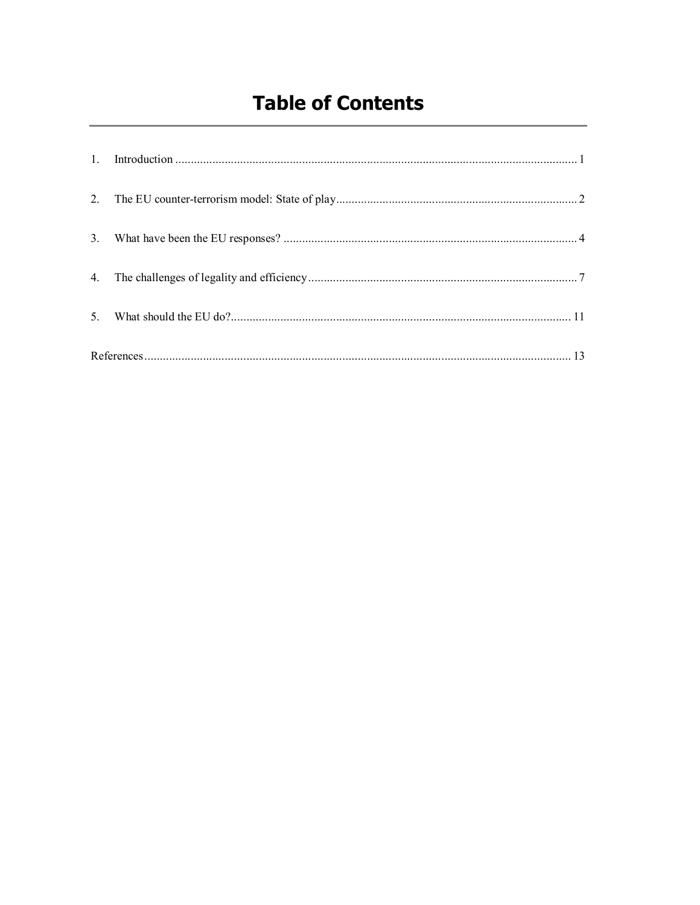# **Table of Contents**

| $\mathbf{1}$ . |  |  |
|----------------|--|--|
|                |  |  |
| 3 <sub>1</sub> |  |  |
| 4.             |  |  |
| $\mathcal{F}$  |  |  |
|                |  |  |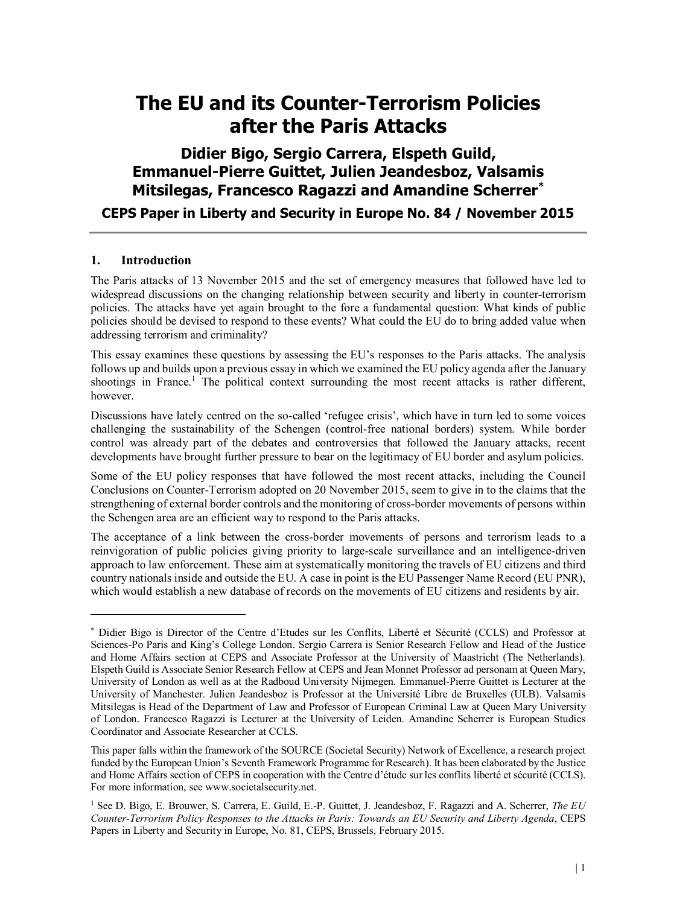# **The EU and its Counter-Terrorism Policies after the Paris Attacks**

**Didier Bigo, Sergio Carrera, Elspeth Guild, Emmanuel-Pierre Guittet, Julien Jeandesboz, Valsamis Mitsilegas, Francesco Ragazzi and Amandine Scherrer\***

**CEPS Paper in Liberty and Security in Europe No. 84 / November 2015**

#### **1. Introduction**

-

The Paris attacks of 13 November 2015 and the set of emergency measures that followed have led to widespread discussions on the changing relationship between security and liberty in counter-terrorism policies. The attacks have yet again brought to the fore a fundamental question: What kinds of public policies should be devised to respond to these events? What could the EU do to bring added value when addressing terrorism and criminality?

This essay examines these questions by assessing the EU's responses to the Paris attacks. The analysis follows up and builds upon a previous essay in which we examined the EU policy agenda after the January shootings in France.<sup>1</sup> The political context surrounding the most recent attacks is rather different, however.

Discussions have lately centred on the so-called 'refugee crisis', which have in turn led to some voices challenging the sustainability of the Schengen (control-free national borders) system. While border control was already part of the debates and controversies that followed the January attacks, recent developments have brought further pressure to bear on the legitimacy of EU border and asylum policies.

Some of the EU policy responses that have followed the most recent attacks, including the Council Conclusions on Counter-Terrorism adopted on 20 November 2015, seem to give in to the claims that the strengthening of external border controls and the monitoring of cross-border movements of persons within the Schengen area are an efficient way to respond to the Paris attacks.

The acceptance of a link between the cross-border movements of persons and terrorism leads to a reinvigoration of public policies giving priority to large-scale surveillance and an intelligence-driven approach to law enforcement. These aim at systematically monitoring the travels of EU citizens and third country nationals inside and outside the EU. A case in point is the EU Passenger Name Record (EU PNR), which would establish a new database of records on the movements of EU citizens and residents by air.

<sup>\*</sup> Didier Bigo is Director of the Centre d'Etudes sur les Conflits, Liberté et Sécurité (CCLS) and Professor at Sciences-Po Paris and King's College London. Sergio Carrera is Senior Research Fellow and Head of the Justice and Home Affairs section at CEPS and Associate Professor at the University of Maastricht (The Netherlands). Elspeth Guild is Associate Senior Research Fellow at CEPS and Jean Monnet Professor ad personam at Queen Mary, University of London as well as at the Radboud University Nijmegen. Emmanuel-Pierre Guittet is Lecturer at the University of Manchester. Julien Jeandesboz is Professor at the Université Libre de Bruxelles (ULB). Valsamis Mitsilegas is Head of the Department of Law and Professor of European Criminal Law at Queen Mary University of London. Francesco Ragazzi is Lecturer at the University of Leiden. Amandine Scherrer is European Studies Coordinator and Associate Researcher at CCLS.

This paper falls within the framework of the SOURCE (Societal Security) Network of Excellence, a research project funded by the European Union's Seventh Framework Programme for Research). It has been elaborated by the Justice and Home Affairs section of CEPS in cooperation with the Centre d'étude sur les conflits liberté et sécurité (CCLS). For more information, see www.societalsecurity.net.

<sup>1</sup> See D. Bigo, E. Brouwer, S. Carrera, E. Guild, E.-P. Guittet, J. Jeandesboz, F. Ragazzi and A. Scherrer, *The EU Counter-Terrorism Policy Responses to the Attacks in Paris: Towards an EU Security and Liberty Agenda*, CEPS Papers in Liberty and Security in Europe, No. 81, CEPS, Brussels, February 2015.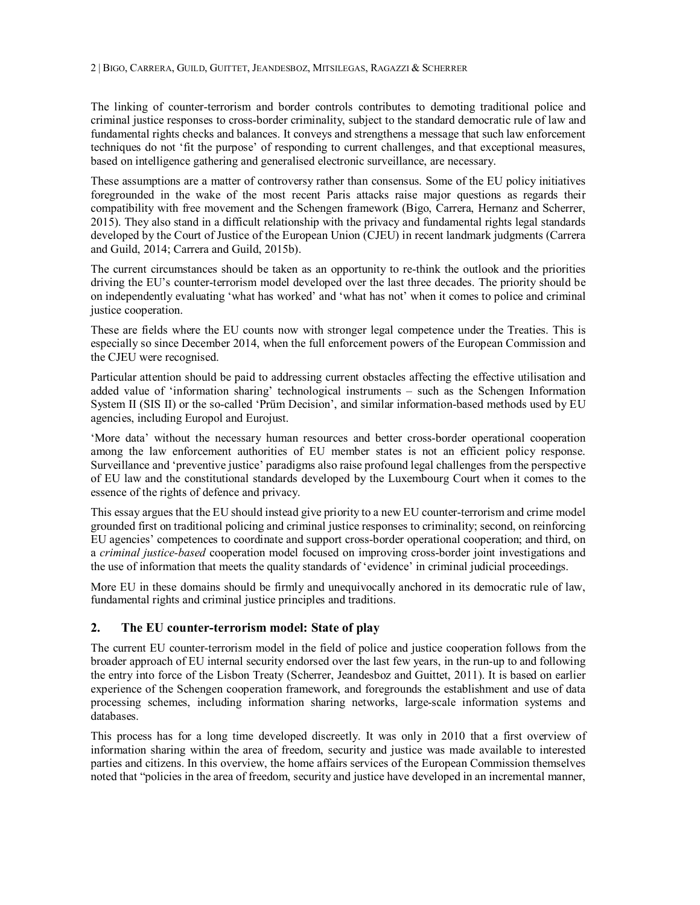The linking of counter-terrorism and border controls contributes to demoting traditional police and criminal justice responses to cross-border criminality, subject to the standard democratic rule of law and fundamental rights checks and balances. It conveys and strengthens a message that such law enforcement techniques do not 'fit the purpose' of responding to current challenges, and that exceptional measures, based on intelligence gathering and generalised electronic surveillance, are necessary.

These assumptions are a matter of controversy rather than consensus. Some of the EU policy initiatives foregrounded in the wake of the most recent Paris attacks raise major questions as regards their compatibility with free movement and the Schengen framework (Bigo, Carrera, Hernanz and Scherrer, 2015). They also stand in a difficult relationship with the privacy and fundamental rights legal standards developed by the Court of Justice of the European Union (CJEU) in recent landmark judgments (Carrera and Guild, 2014; Carrera and Guild, 2015b).

The current circumstances should be taken as an opportunity to re-think the outlook and the priorities driving the EU's counter-terrorism model developed over the last three decades. The priority should be on independently evaluating 'what has worked' and 'what has not' when it comes to police and criminal justice cooperation.

These are fields where the EU counts now with stronger legal competence under the Treaties. This is especially so since December 2014, when the full enforcement powers of the European Commission and the CJEU were recognised.

Particular attention should be paid to addressing current obstacles affecting the effective utilisation and added value of 'information sharing' technological instruments – such as the Schengen Information System II (SIS II) or the so-called 'Prüm Decision', and similar information-based methods used by EU agencies, including Europol and Eurojust.

'More data' without the necessary human resources and better cross-border operational cooperation among the law enforcement authorities of EU member states is not an efficient policy response. Surveillance and 'preventive justice' paradigms also raise profound legal challenges from the perspective of EU law and the constitutional standards developed by the Luxembourg Court when it comes to the essence of the rights of defence and privacy.

This essay argues that the EU should instead give priority to a new EU counter-terrorism and crime model grounded first on traditional policing and criminal justice responses to criminality; second, on reinforcing EU agencies' competences to coordinate and support cross-border operational cooperation; and third, on a *criminal justice-based* cooperation model focused on improving cross-border joint investigations and the use of information that meets the quality standards of 'evidence' in criminal judicial proceedings.

More EU in these domains should be firmly and unequivocally anchored in its democratic rule of law, fundamental rights and criminal justice principles and traditions.

#### **2. The EU counter-terrorism model: State of play**

The current EU counter-terrorism model in the field of police and justice cooperation follows from the broader approach of EU internal security endorsed over the last few years, in the run-up to and following the entry into force of the Lisbon Treaty (Scherrer, Jeandesboz and Guittet, 2011). It is based on earlier experience of the Schengen cooperation framework, and foregrounds the establishment and use of data processing schemes, including information sharing networks, large-scale information systems and databases.

This process has for a long time developed discreetly. It was only in 2010 that a first overview of information sharing within the area of freedom, security and justice was made available to interested parties and citizens. In this overview, the home affairs services of the European Commission themselves noted that "policies in the area of freedom, security and justice have developed in an incremental manner,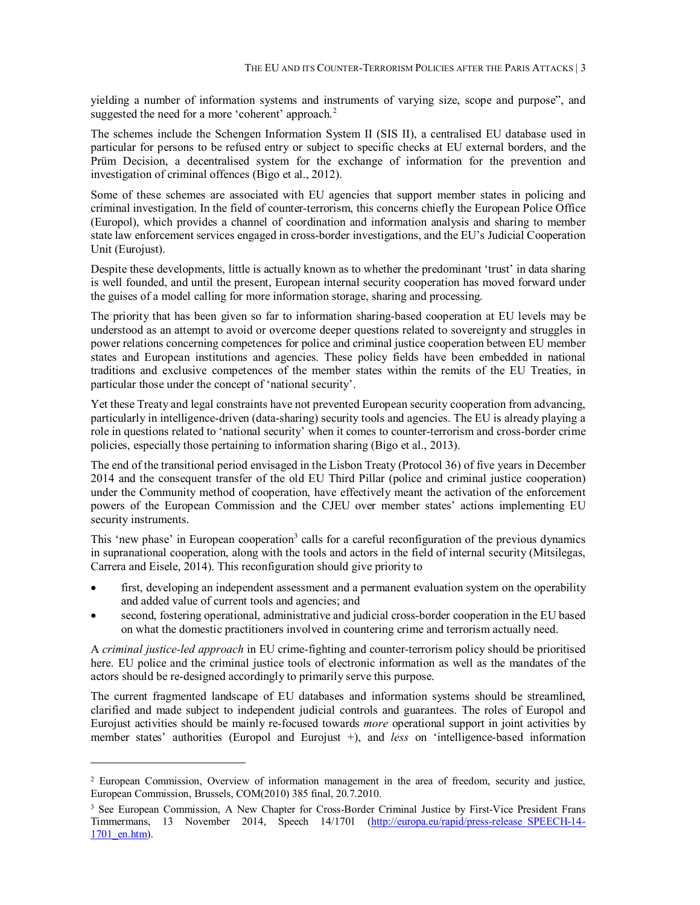yielding a number of information systems and instruments of varying size, scope and purpose", and suggested the need for a more 'coherent' approach.<sup>2</sup>

The schemes include the Schengen Information System II (SIS II), a centralised EU database used in particular for persons to be refused entry or subject to specific checks at EU external borders, and the Prüm Decision, a decentralised system for the exchange of information for the prevention and investigation of criminal offences (Bigo et al., 2012).

Some of these schemes are associated with EU agencies that support member states in policing and criminal investigation. In the field of counter-terrorism, this concerns chiefly the European Police Office (Europol), which provides a channel of coordination and information analysis and sharing to member state law enforcement services engaged in cross-border investigations, and the EU's Judicial Cooperation Unit (Eurojust).

Despite these developments, little is actually known as to whether the predominant 'trust' in data sharing is well founded, and until the present, European internal security cooperation has moved forward under the guises of a model calling for more information storage, sharing and processing.

The priority that has been given so far to information sharing-based cooperation at EU levels may be understood as an attempt to avoid or overcome deeper questions related to sovereignty and struggles in power relations concerning competences for police and criminal justice cooperation between EU member states and European institutions and agencies. These policy fields have been embedded in national traditions and exclusive competences of the member states within the remits of the EU Treaties, in particular those under the concept of 'national security'.

Yet these Treaty and legal constraints have not prevented European security cooperation from advancing, particularly in intelligence-driven (data-sharing) security tools and agencies. The EU is already playing a role in questions related to 'national security' when it comes to counter-terrorism and cross-border crime policies, especially those pertaining to information sharing (Bigo et al., 2013).

The end of the transitional period envisaged in the Lisbon Treaty (Protocol 36) of five years in December 2014 and the consequent transfer of the old EU Third Pillar (police and criminal justice cooperation) under the Community method of cooperation, have effectively meant the activation of the enforcement powers of the European Commission and the CJEU over member states' actions implementing EU security instruments.

This 'new phase' in European cooperation<sup>3</sup> calls for a careful reconfiguration of the previous dynamics in supranational cooperation, along with the tools and actors in the field of internal security (Mitsilegas, Carrera and Eisele, 2014). This reconfiguration should give priority to

- first, developing an independent assessment and a permanent evaluation system on the operability and added value of current tools and agencies; and
- second, fostering operational, administrative and judicial cross-border cooperation in the EU based on what the domestic practitioners involved in countering crime and terrorism actually need.

A *criminal justice-led approach* in EU crime-fighting and counter-terrorism policy should be prioritised here. EU police and the criminal justice tools of electronic information as well as the mandates of the actors should be re-designed accordingly to primarily serve this purpose.

The current fragmented landscape of EU databases and information systems should be streamlined, clarified and made subject to independent judicial controls and guarantees. The roles of Europol and Eurojust activities should be mainly re-focused towards *more* operational support in joint activities by member states' authorities (Europol and Eurojust +), and *less* on 'intelligence-based information

<sup>2</sup> European Commission, Overview of information management in the area of freedom, security and justice, European Commission, Brussels, COM(2010) 385 final, 20.7.2010.

<sup>&</sup>lt;sup>3</sup> See European Commission, A New Chapter for Cross-Border Criminal Justice by First-Vice President Frans Timmermans, 13 November 2014, Speech 14/1701 (http://europa.eu/rapid/press-release\_SPEECH-14- 1701 en.htm).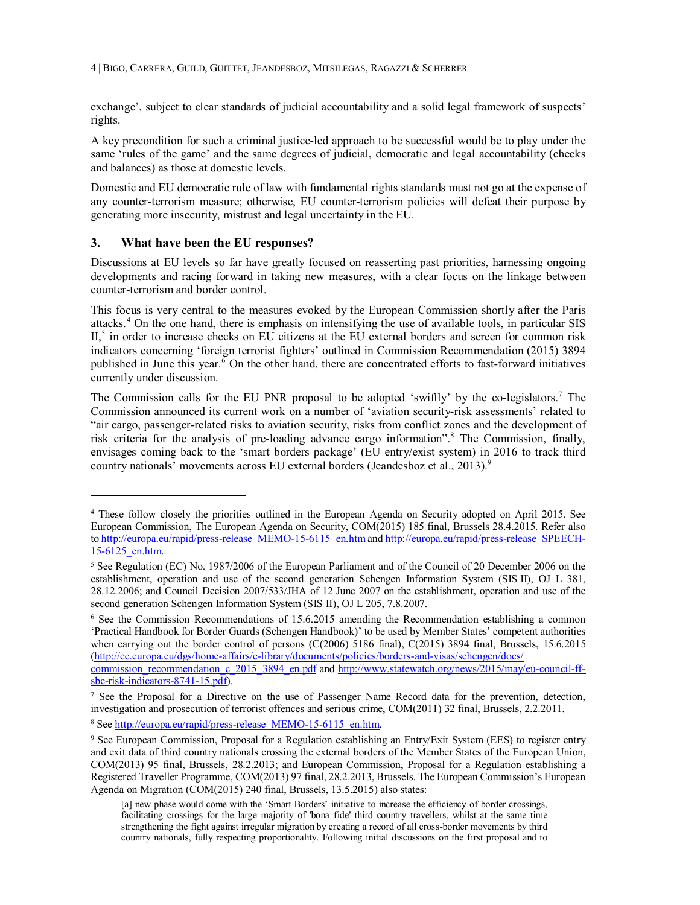4 BIGO, CARRERA, GUILD, GUITTET, JEANDESBOZ, MITSILEGAS, RAGAZZI & SCHERRER

exchange', subject to clear standards of judicial accountability and a solid legal framework of suspects' rights.

A key precondition for such a criminal justice-led approach to be successful would be to play under the same 'rules of the game' and the same degrees of judicial, democratic and legal accountability (checks and balances) as those at domestic levels.

Domestic and EU democratic rule of law with fundamental rights standards must not go at the expense of any counter-terrorism measure; otherwise, EU counter-terrorism policies will defeat their purpose by generating more insecurity, mistrust and legal uncertainty in the EU.

#### **3. What have been the EU responses?**

-

Discussions at EU levels so far have greatly focused on reasserting past priorities, harnessing ongoing developments and racing forward in taking new measures, with a clear focus on the linkage between counter-terrorism and border control.

This focus is very central to the measures evoked by the European Commission shortly after the Paris attacks.<sup>4</sup> On the one hand, there is emphasis on intensifying the use of available tools, in particular SIS II,<sup>5</sup> in order to increase checks on EU citizens at the EU external borders and screen for common risk indicators concerning 'foreign terrorist fighters' outlined in Commission Recommendation (2015) 3894 published in June this year.<sup>6</sup> On the other hand, there are concentrated efforts to fast-forward initiatives currently under discussion.

The Commission calls for the EU PNR proposal to be adopted 'swiftly' by the co-legislators.<sup>7</sup> The Commission announced its current work on a number of 'aviation security-risk assessments' related to "air cargo, passenger-related risks to aviation security, risks from conflict zones and the development of risk criteria for the analysis of pre-loading advance cargo information". <sup>8</sup> The Commission, finally, envisages coming back to the 'smart borders package' (EU entry/exist system) in 2016 to track third country nationals' movements across EU external borders (Jeandesboz et al., 2013).<sup>9</sup>

<sup>6</sup> See the Commission Recommendations of 15.6.2015 amending the Recommendation establishing a common 'Practical Handbook for Border Guards (Schengen Handbook)' to be used by Member States' competent authorities when carrying out the border control of persons (C(2006) 5186 final), C(2015) 3894 final, Brussels, 15.6.2015 (http://ec.europa.eu/dgs/home-affairs/e-library/documents/policies/borders-and-visas/schengen/docs/ commission\_recommendation\_c\_2015\_3894\_en.pdf and http://www.statewatch.org/news/2015/may/eu-council-ffsbc-risk-indicators-8741-15.pdf).

<sup>4</sup> These follow closely the priorities outlined in the European Agenda on Security adopted on April 2015. See European Commission, The European Agenda on Security, COM(2015) 185 final, Brussels 28.4.2015. Refer also to http://europa.eu/rapid/press-release\_MEMO-15-6115\_en.htm and http://europa.eu/rapid/press-release\_SPEECH-15-6125\_en.htm.

<sup>5</sup> See Regulation (EC) No. 1987/2006 of the European Parliament and of the Council of 20 December 2006 on the establishment, operation and use of the second generation Schengen Information System (SIS II), OJ L 381, 28.12.2006; and Council Decision 2007/533/JHA of 12 June 2007 on the establishment, operation and use of the second generation Schengen Information System (SIS II), OJ L 205, 7.8.2007.

<sup>7</sup> See the Proposal for a Directive on the use of Passenger Name Record data for the prevention, detection, investigation and prosecution of terrorist offences and serious crime, COM(2011) 32 final, Brussels, 2.2.2011.

<sup>&</sup>lt;sup>8</sup> See http://europa.eu/rapid/press-release MEMO-15-6115 en.htm.

<sup>9</sup> See European Commission, Proposal for a Regulation establishing an Entry/Exit System (EES) to register entry and exit data of third country nationals crossing the external borders of the Member States of the European Union, COM(2013) 95 final, Brussels, 28.2.2013; and European Commission, Proposal for a Regulation establishing a Registered Traveller Programme, COM(2013) 97 final, 28.2.2013, Brussels. The European Commission's European Agenda on Migration (COM(2015) 240 final, Brussels, 13.5.2015) also states:

<sup>[</sup>a] new phase would come with the 'Smart Borders' initiative to increase the efficiency of border crossings, facilitating crossings for the large majority of 'bona fide' third country travellers, whilst at the same time strengthening the fight against irregular migration by creating a record of all cross-border movements by third country nationals, fully respecting proportionality. Following initial discussions on the first proposal and to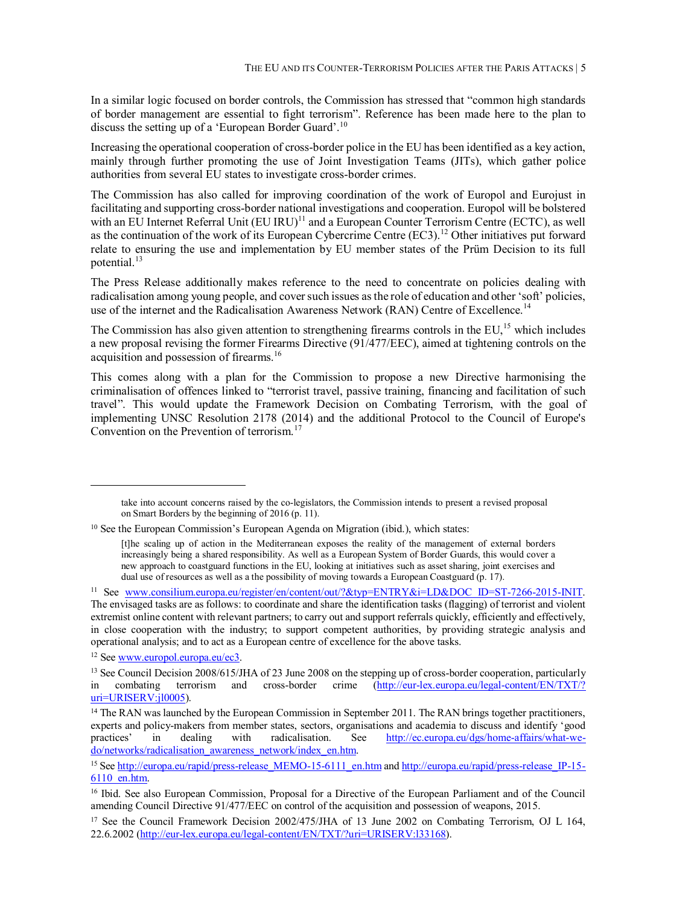In a similar logic focused on border controls, the Commission has stressed that "common high standards of border management are essential to fight terrorism". Reference has been made here to the plan to discuss the setting up of a 'European Border Guard'.<sup>10</sup>

Increasing the operational cooperation of cross-border police in the EU has been identified as a key action, mainly through further promoting the use of Joint Investigation Teams (JITs), which gather police authorities from several EU states to investigate cross-border crimes.

The Commission has also called for improving coordination of the work of Europol and Eurojust in facilitating and supporting cross-border national investigations and cooperation. Europol will be bolstered with an EU Internet Referral Unit (EU IRU)<sup>11</sup> and a European Counter Terrorism Centre (ECTC), as well as the continuation of the work of its European Cybercrime Centre (EC3).<sup>12</sup> Other initiatives put forward relate to ensuring the use and implementation by EU member states of the Prüm Decision to its full potential.<sup>13</sup>

The Press Release additionally makes reference to the need to concentrate on policies dealing with radicalisation among young people, and cover such issues as the role of education and other 'soft' policies, use of the internet and the Radicalisation Awareness Network (RAN) Centre of Excellence.<sup>14</sup>

The Commission has also given attention to strengthening firearms controls in the EU,<sup>15</sup> which includes a new proposal revising the former Firearms Directive (91/477/EEC), aimed at tightening controls on the acquisition and possession of firearms.<sup>16</sup>

This comes along with a plan for the Commission to propose a new Directive harmonising the criminalisation of offences linked to "terrorist travel, passive training, financing and facilitation of such travel". This would update the Framework Decision on Combating Terrorism, with the goal of implementing UNSC Resolution 2178 (2014) and the additional Protocol to the Council of Europe's Convention on the Prevention of terrorism.<sup>17</sup>

<sup>12</sup> See www.europol.europa.eu/ec3.

take into account concerns raised by the co-legislators, the Commission intends to present a revised proposal on Smart Borders by the beginning of 2016 (p. 11).

<sup>&</sup>lt;sup>10</sup> See the European Commission's European Agenda on Migration (ibid.), which states:

<sup>[</sup>t]he scaling up of action in the Mediterranean exposes the reality of the management of external borders increasingly being a shared responsibility. As well as a European System of Border Guards, this would cover a new approach to coastguard functions in the EU, looking at initiatives such as asset sharing, joint exercises and dual use of resources as well as a the possibility of moving towards a European Coastguard (p. 17).

<sup>&</sup>lt;sup>11</sup> See www.consilium.europa.eu/register/en/content/out/?&typ=ENTRY&i=LD&DOC\_ID=ST-7266-2015-INIT. The envisaged tasks are as follows: to coordinate and share the identification tasks (flagging) of terrorist and violent extremist online content with relevant partners; to carry out and support referrals quickly, efficiently and effectively, in close cooperation with the industry; to support competent authorities, by providing strategic analysis and operational analysis; and to act as a European centre of excellence for the above tasks.

<sup>&</sup>lt;sup>13</sup> See Council Decision 2008/615/JHA of 23 June 2008 on the stepping up of cross-border cooperation, particularly in combating terrorism and cross-border crime  $(\text{http://eur-lex.europa.eu/legal-content/ENT/T}$ in combating terrorism and cross-border crime (http://eur-lex.europa.eu/legal-content/EN/TXT/? uri=URISERV:jl0005).

<sup>&</sup>lt;sup>14</sup> The RAN was launched by the European Commission in September 2011. The RAN brings together practitioners, experts and policy-makers from member states, sectors, organisations and academia to discuss and identify 'good<br>practices' in dealing with radicalisation. See http://ec.europa.eu/dgs/home-affairs/what-wepractices' in dealing with radicalisation. See http://ec.europa.eu/dgs/home-affairs/what-wedo/networks/radicalisation\_awareness\_network/index\_en.htm.

<sup>15</sup> See http://europa.eu/rapid/press-release\_MEMO-15-6111\_en.htm and http://europa.eu/rapid/press-release\_IP-15- 6110\_en.htm.

<sup>16</sup> Ibid. See also European Commission, Proposal for a Directive of the European Parliament and of the Council amending Council Directive 91/477/EEC on control of the acquisition and possession of weapons, 2015.

<sup>&</sup>lt;sup>17</sup> See the Council Framework Decision 2002/475/JHA of 13 June 2002 on Combating Terrorism, OJ L 164, 22.6.2002 (http://eur-lex.europa.eu/legal-content/EN/TXT/?uri=URISERV:l33168).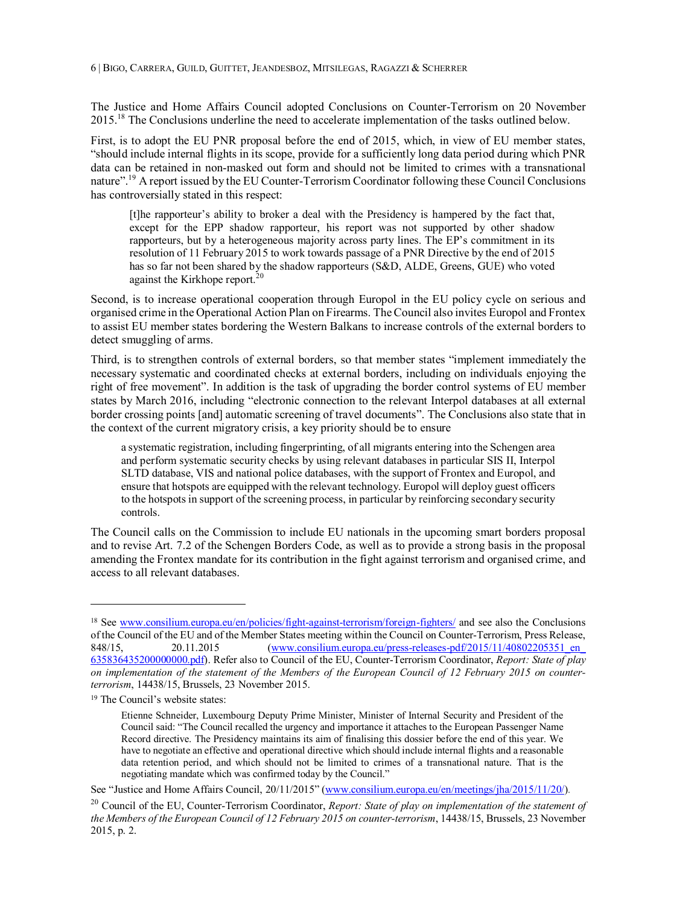The Justice and Home Affairs Council adopted Conclusions on Counter-Terrorism on 20 November 2015.<sup>18</sup> The Conclusions underline the need to accelerate implementation of the tasks outlined below.

First, is to adopt the EU PNR proposal before the end of 2015, which, in view of EU member states, "should include internal flights in its scope, provide for a sufficiently long data period during which PNR data can be retained in non-masked out form and should not be limited to crimes with a transnational nature".<sup>19</sup> A report issued by the EU Counter-Terrorism Coordinator following these Council Conclusions has controversially stated in this respect:

[t]he rapporteur's ability to broker a deal with the Presidency is hampered by the fact that, except for the EPP shadow rapporteur, his report was not supported by other shadow rapporteurs, but by a heterogeneous majority across party lines. The EP's commitment in its resolution of 11 February 2015 to work towards passage of a PNR Directive by the end of 2015 has so far not been shared by the shadow rapporteurs (S&D, ALDE, Greens, GUE) who voted against the Kirkhope report.<sup>20</sup>

Second, is to increase operational cooperation through Europol in the EU policy cycle on serious and organised crime in the Operational Action Plan on Firearms. The Council also invites Europol and Frontex to assist EU member states bordering the Western Balkans to increase controls of the external borders to detect smuggling of arms.

Third, is to strengthen controls of external borders, so that member states "implement immediately the necessary systematic and coordinated checks at external borders, including on individuals enjoying the right of free movement". In addition is the task of upgrading the border control systems of EU member states by March 2016, including "electronic connection to the relevant Interpol databases at all external border crossing points [and] automatic screening of travel documents". The Conclusions also state that in the context of the current migratory crisis, a key priority should be to ensure

a systematic registration, including fingerprinting, of all migrants entering into the Schengen area and perform systematic security checks by using relevant databases in particular SIS II, Interpol SLTD database, VIS and national police databases, with the support of Frontex and Europol, and ensure that hotspots are equipped with the relevant technology. Europol will deploy guest officers to the hotspots in support of the screening process, in particular by reinforcing secondary security controls.

The Council calls on the Commission to include EU nationals in the upcoming smart borders proposal and to revise Art. 7.2 of the Schengen Borders Code, as well as to provide a strong basis in the proposal amending the Frontex mandate for its contribution in the fight against terrorism and organised crime, and access to all relevant databases.

<sup>&</sup>lt;sup>18</sup> See www.consilium.europa.eu/en/policies/fight-against-terrorism/foreign-fighters/ and see also the Conclusions of the Council of the EU and of the Member States meeting within the Council on Counter-Terrorism, Press Release, 848/15, 20.11.2015 (www.consilium.europa.eu/press-releases-pdf/2015/11/40802205351\_en\_ 635836435200000000.pdf). Refer also to Council of the EU, Counter-Terrorism Coordinator, *Report: State of play on implementation of the statement of the Members of the European Council of 12 February 2015 on counterterrorism*, 14438/15, Brussels, 23 November 2015.

<sup>19</sup> The Council's website states:

Etienne Schneider, Luxembourg Deputy Prime Minister, Minister of Internal Security and President of the Council said: "The Council recalled the urgency and importance it attaches to the European Passenger Name Record directive. The Presidency maintains its aim of finalising this dossier before the end of this year. We have to negotiate an effective and operational directive which should include internal flights and a reasonable data retention period, and which should not be limited to crimes of a transnational nature. That is the negotiating mandate which was confirmed today by the Council."

See "Justice and Home Affairs Council, 20/11/2015" (www.consilium.europa.eu/en/meetings/jha/2015/11/20/).

<sup>20</sup> Council of the EU, Counter-Terrorism Coordinator, *Report: State of play on implementation of the statement of the Members of the European Council of 12 February 2015 on counter-terrorism*, 14438/15, Brussels, 23 November 2015, p. 2.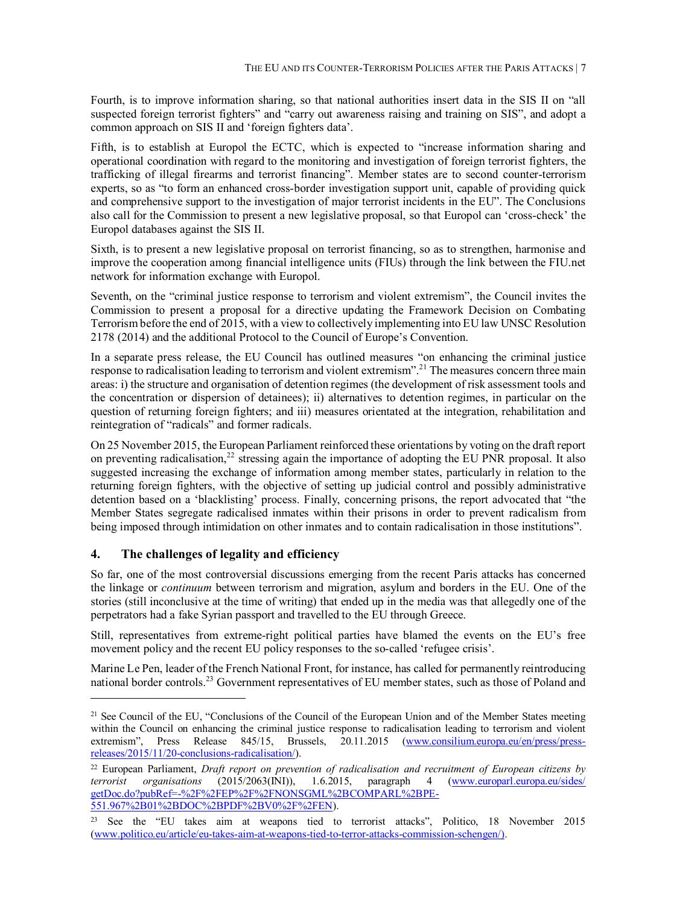Fourth, is to improve information sharing, so that national authorities insert data in the SIS II on "all suspected foreign terrorist fighters" and "carry out awareness raising and training on SIS", and adopt a common approach on SIS II and 'foreign fighters data'.

Fifth, is to establish at Europol the ECTC, which is expected to "increase information sharing and operational coordination with regard to the monitoring and investigation of foreign terrorist fighters, the trafficking of illegal firearms and terrorist financing". Member states are to second counter-terrorism experts, so as "to form an enhanced cross-border investigation support unit, capable of providing quick and comprehensive support to the investigation of major terrorist incidents in the EU". The Conclusions also call for the Commission to present a new legislative proposal, so that Europol can 'cross-check' the Europol databases against the SIS II.

Sixth, is to present a new legislative proposal on terrorist financing, so as to strengthen, harmonise and improve the cooperation among financial intelligence units (FIUs) through the link between the FIU.net network for information exchange with Europol.

Seventh, on the "criminal justice response to terrorism and violent extremism", the Council invites the Commission to present a proposal for a directive updating the Framework Decision on Combating Terrorism before the end of 2015, with a view to collectively implementing into EU law UNSC Resolution 2178 (2014) and the additional Protocol to the Council of Europe's Convention.

In a separate press release, the EU Council has outlined measures "on enhancing the criminal justice response to radicalisation leading to terrorism and violent extremism".<sup>21</sup> The measures concern three main areas: i) the structure and organisation of detention regimes (the development of risk assessment tools and the concentration or dispersion of detainees); ii) alternatives to detention regimes, in particular on the question of returning foreign fighters; and iii) measures orientated at the integration, rehabilitation and reintegration of "radicals" and former radicals.

On 25 November 2015, the European Parliament reinforced these orientations by voting on the draft report on preventing radicalisation,<sup>22</sup> stressing again the importance of adopting the EU PNR proposal. It also suggested increasing the exchange of information among member states, particularly in relation to the returning foreign fighters, with the objective of setting up judicial control and possibly administrative detention based on a 'blacklisting' process. Finally, concerning prisons, the report advocated that "the Member States segregate radicalised inmates within their prisons in order to prevent radicalism from being imposed through intimidation on other inmates and to contain radicalisation in those institutions".

#### **4. The challenges of legality and efficiency**

-

So far, one of the most controversial discussions emerging from the recent Paris attacks has concerned the linkage or *continuum* between terrorism and migration, asylum and borders in the EU. One of the stories (still inconclusive at the time of writing) that ended up in the media was that allegedly one of the perpetrators had a fake Syrian passport and travelled to the EU through Greece.

Still, representatives from extreme-right political parties have blamed the events on the EU's free movement policy and the recent EU policy responses to the so-called 'refugee crisis'.

Marine Le Pen, leader of the French National Front, for instance, has called for permanently reintroducing national border controls.<sup>23</sup> Government representatives of EU member states, such as those of Poland and

<sup>&</sup>lt;sup>21</sup> See Council of the EU, "Conclusions of the Council of the European Union and of the Member States meeting within the Council on enhancing the criminal justice response to radicalisation leading to terrorism and violent extremism", Press Release 845/15, Brussels, 20.11.2015 (www.consilium.europa.eu/en/press/pressreleases/2015/11/20-conclusions-radicalisation/).

<sup>&</sup>lt;sup>22</sup> European Parliament, *Draft report on prevention of radicalisation and recruitment of European citizens by <i>terrorist* organisations (2015/2063(INI)), 1.6.2015, paragraph 4 (www.europarl.europa.eu/sides/  $$ getDoc.do?pubRef=-%2F%2FEP%2F%2FNONSGML%2BCOMPARL%2BPE-551.967%2B01%2BDOC%2BPDF%2BV0%2F%2FEN).

<sup>23</sup> See the "EU takes aim at weapons tied to terrorist attacks", Politico, 18 November 2015 (www.politico.eu/article/eu-takes-aim-at-weapons-tied-to-terror-attacks-commission-schengen/).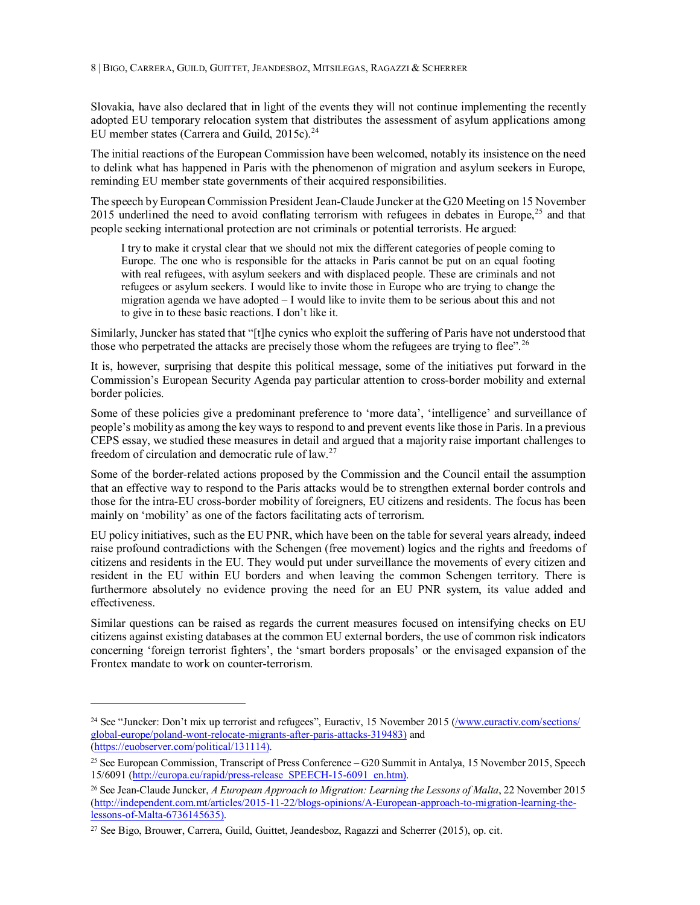Slovakia, have also declared that in light of the events they will not continue implementing the recently adopted EU temporary relocation system that distributes the assessment of asylum applications among EU member states (Carrera and Guild,  $2015c$ ).<sup>24</sup>

The initial reactions of the European Commission have been welcomed, notably its insistence on the need to delink what has happened in Paris with the phenomenon of migration and asylum seekers in Europe, reminding EU member state governments of their acquired responsibilities.

The speech by European Commission President Jean-Claude Juncker at the G20 Meeting on 15 November 2015 underlined the need to avoid conflating terrorism with refugees in debates in Europe,<sup>25</sup> and that people seeking international protection are not criminals or potential terrorists. He argued:

I try to make it crystal clear that we should not mix the different categories of people coming to Europe. The one who is responsible for the attacks in Paris cannot be put on an equal footing with real refugees, with asylum seekers and with displaced people. These are criminals and not refugees or asylum seekers. I would like to invite those in Europe who are trying to change the migration agenda we have adopted – I would like to invite them to be serious about this and not to give in to these basic reactions. I don't like it.

Similarly, Juncker has stated that "[t]he cynics who exploit the suffering of Paris have not understood that those who perpetrated the attacks are precisely those whom the refugees are trying to flee".<sup>26</sup>

It is, however, surprising that despite this political message, some of the initiatives put forward in the Commission's European Security Agenda pay particular attention to cross-border mobility and external border policies.

Some of these policies give a predominant preference to 'more data', 'intelligence' and surveillance of people's mobility as among the key ways to respond to and prevent events like those in Paris. In a previous CEPS essay, we studied these measures in detail and argued that a majority raise important challenges to freedom of circulation and democratic rule of law.<sup>27</sup>

Some of the border-related actions proposed by the Commission and the Council entail the assumption that an effective way to respond to the Paris attacks would be to strengthen external border controls and those for the intra-EU cross-border mobility of foreigners, EU citizens and residents. The focus has been mainly on 'mobility' as one of the factors facilitating acts of terrorism.

EU policy initiatives, such as the EU PNR, which have been on the table for several years already, indeed raise profound contradictions with the Schengen (free movement) logics and the rights and freedoms of citizens and residents in the EU. They would put under surveillance the movements of every citizen and resident in the EU within EU borders and when leaving the common Schengen territory. There is furthermore absolutely no evidence proving the need for an EU PNR system, its value added and effectiveness.

Similar questions can be raised as regards the current measures focused on intensifying checks on EU citizens against existing databases at the common EU external borders, the use of common risk indicators concerning 'foreign terrorist fighters', the 'smart borders proposals' or the envisaged expansion of the Frontex mandate to work on counter-terrorism.

<sup>&</sup>lt;sup>24</sup> See "Juncker: Don't mix up terrorist and refugees", Euractiv, 15 November 2015 (/www.euractiv.com/sections/ global-europe/poland-wont-relocate-migrants-after-paris-attacks-319483) and (https://euobserver.com/political/131114).

<sup>25</sup> See European Commission, Transcript of Press Conference – G20 Summit in Antalya, 15 November 2015, Speech 15/6091 (http://europa.eu/rapid/press-release\_SPEECH-15-6091\_en.htm).

<sup>26</sup> See Jean-Claude Juncker, *A European Approach to Migration: Learning the Lessons of Malta*, 22 November 2015 (http://independent.com.mt/articles/2015-11-22/blogs-opinions/A-European-approach-to-migration-learning-thelessons-of-Malta-6736145635).

<sup>27</sup> See Bigo, Brouwer, Carrera, Guild, Guittet, Jeandesboz, Ragazzi and Scherrer (2015), op. cit.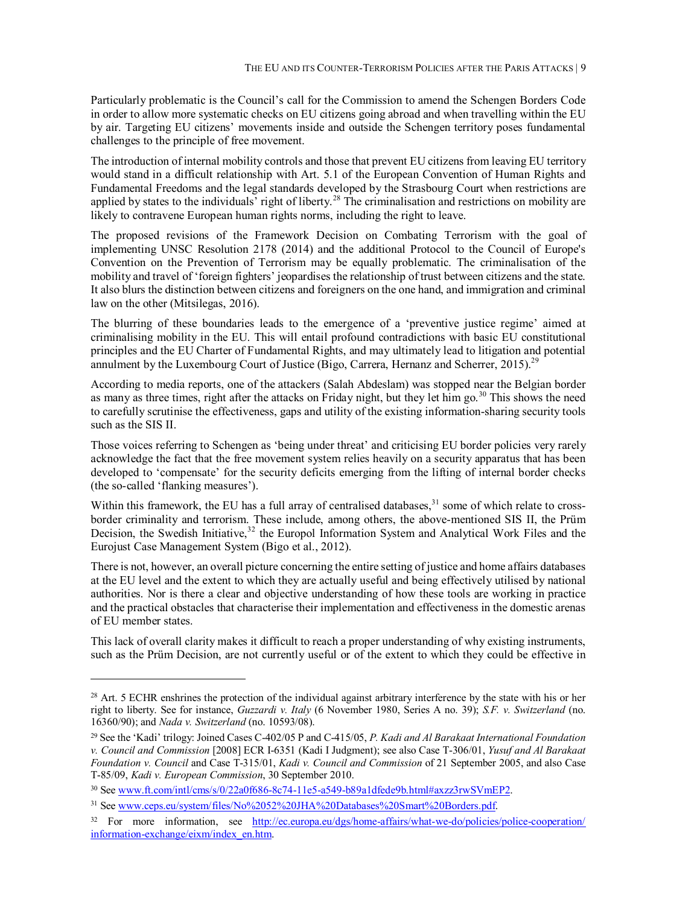Particularly problematic is the Council's call for the Commission to amend the Schengen Borders Code in order to allow more systematic checks on EU citizens going abroad and when travelling within the EU by air. Targeting EU citizens' movements inside and outside the Schengen territory poses fundamental challenges to the principle of free movement.

The introduction of internal mobility controls and those that prevent EU citizens from leaving EU territory would stand in a difficult relationship with Art. 5.1 of the European Convention of Human Rights and Fundamental Freedoms and the legal standards developed by the Strasbourg Court when restrictions are applied by states to the individuals<sup>7</sup> right of liberty.<sup>28</sup> The criminalisation and restrictions on mobility are likely to contravene European human rights norms, including the right to leave.

The proposed revisions of the Framework Decision on Combating Terrorism with the goal of implementing UNSC Resolution 2178 (2014) and the additional Protocol to the Council of Europe's Convention on the Prevention of Terrorism may be equally problematic. The criminalisation of the mobility and travel of 'foreign fighters' jeopardises the relationship of trust between citizens and the state. It also blurs the distinction between citizens and foreigners on the one hand, and immigration and criminal law on the other (Mitsilegas, 2016).

The blurring of these boundaries leads to the emergence of a 'preventive justice regime' aimed at criminalising mobility in the EU. This will entail profound contradictions with basic EU constitutional principles and the EU Charter of Fundamental Rights, and may ultimately lead to litigation and potential annulment by the Luxembourg Court of Justice (Bigo, Carrera, Hernanz and Scherrer, 2015).<sup>29</sup>

According to media reports, one of the attackers (Salah Abdeslam) was stopped near the Belgian border as many as three times, right after the attacks on Friday night, but they let him go.<sup>30</sup> This shows the need to carefully scrutinise the effectiveness, gaps and utility of the existing information-sharing security tools such as the SIS II.

Those voices referring to Schengen as 'being under threat' and criticising EU border policies very rarely acknowledge the fact that the free movement system relies heavily on a security apparatus that has been developed to 'compensate' for the security deficits emerging from the lifting of internal border checks (the so-called 'flanking measures').

Within this framework, the EU has a full array of centralised databases,<sup>31</sup> some of which relate to crossborder criminality and terrorism. These include, among others, the above-mentioned SIS II, the Prüm Decision, the Swedish Initiative,<sup>32</sup> the Europol Information System and Analytical Work Files and the Eurojust Case Management System (Bigo et al., 2012).

There is not, however, an overall picture concerning the entire setting of justice and home affairs databases at the EU level and the extent to which they are actually useful and being effectively utilised by national authorities. Nor is there a clear and objective understanding of how these tools are working in practice and the practical obstacles that characterise their implementation and effectiveness in the domestic arenas of EU member states.

This lack of overall clarity makes it difficult to reach a proper understanding of why existing instruments, such as the Prüm Decision, are not currently useful or of the extent to which they could be effective in

<sup>&</sup>lt;sup>28</sup> Art. 5 ECHR enshrines the protection of the individual against arbitrary interference by the state with his or her right to liberty. See for instance, *Guzzardi v. Italy* (6 November 1980, Series A no. 39); *S.F. v. Switzerland* (no. 16360/90); and *Nada v. Switzerland* (no. 10593/08).

<sup>29</sup> See the 'Kadi' trilogy: Joined Cases C-402/05 P and C-415/05, *P. Kadi and Al Barakaat International Foundation v. Council and Commission* [2008] ECR I-6351 (Kadi I Judgment); see also Case T-306/01, *Yusuf and Al Barakaat Foundation v. Council* and Case T-315/01, *Kadi v. Council and Commission* of 21 September 2005, and also Case T-85/09, *Kadi v. European Commission*, 30 September 2010.

<sup>30</sup> See www.ft.com/intl/cms/s/0/22a0f686-8c74-11e5-a549-b89a1dfede9b.html#axzz3rwSVmEP2.

<sup>&</sup>lt;sup>31</sup> See www.ceps.eu/system/files/No%2052%20JHA%20Databases%20Smart%20Borders.pdf.

<sup>&</sup>lt;sup>32</sup> For more information, see http://ec.europa.eu/dgs/home-affairs/what-we-do/policies/police-cooperation/ information-exchange/eixm/index\_en.htm.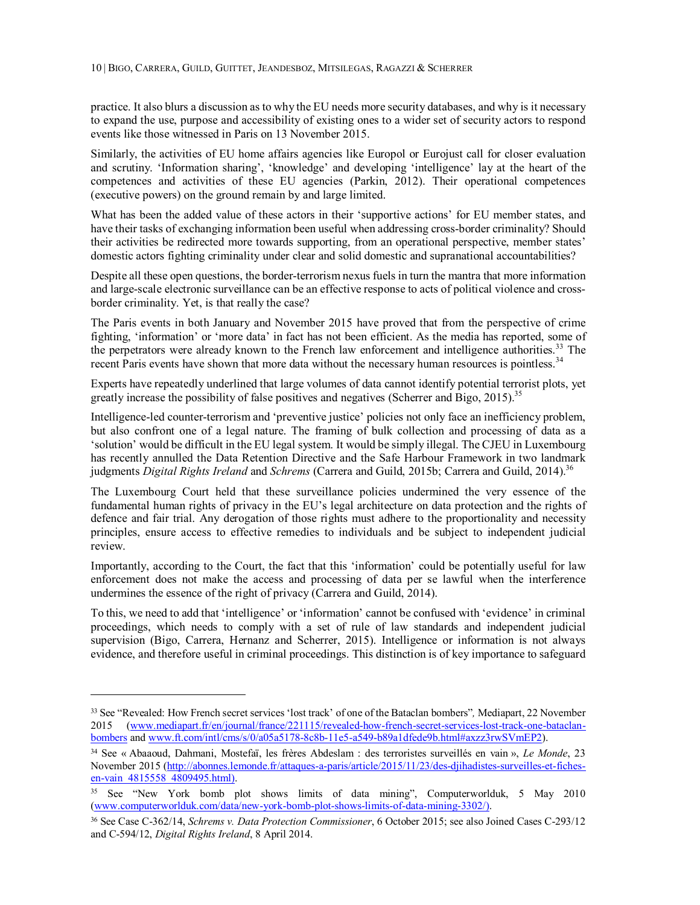practice. It also blurs a discussion as to why the EU needs more security databases, and why is it necessary to expand the use, purpose and accessibility of existing ones to a wider set of security actors to respond events like those witnessed in Paris on 13 November 2015.

Similarly, the activities of EU home affairs agencies like Europol or Eurojust call for closer evaluation and scrutiny. 'Information sharing', 'knowledge' and developing 'intelligence' lay at the heart of the competences and activities of these EU agencies (Parkin, 2012). Their operational competences (executive powers) on the ground remain by and large limited.

What has been the added value of these actors in their 'supportive actions' for EU member states, and have their tasks of exchanging information been useful when addressing cross-border criminality? Should their activities be redirected more towards supporting, from an operational perspective, member states' domestic actors fighting criminality under clear and solid domestic and supranational accountabilities?

Despite all these open questions, the border-terrorism nexus fuels in turn the mantra that more information and large-scale electronic surveillance can be an effective response to acts of political violence and crossborder criminality. Yet, is that really the case?

The Paris events in both January and November 2015 have proved that from the perspective of crime fighting, 'information' or 'more data' in fact has not been efficient. As the media has reported, some of the perpetrators were already known to the French law enforcement and intelligence authorities.<sup>33</sup> The recent Paris events have shown that more data without the necessary human resources is pointless.<sup>34</sup>

Experts have repeatedly underlined that large volumes of data cannot identify potential terrorist plots, yet greatly increase the possibility of false positives and negatives (Scherrer and Bigo, 2015).<sup>35</sup>

Intelligence-led counter-terrorism and 'preventive justice' policies not only face an inefficiency problem, but also confront one of a legal nature. The framing of bulk collection and processing of data as a 'solution' would be difficult in the EU legal system. It would be simply illegal. The CJEU in Luxembourg has recently annulled the Data Retention Directive and the Safe Harbour Framework in two landmark judgments *Digital Rights Ireland* and *Schrems* (Carrera and Guild, 2015b; Carrera and Guild, 2014).<sup>36</sup>

The Luxembourg Court held that these surveillance policies undermined the very essence of the fundamental human rights of privacy in the EU's legal architecture on data protection and the rights of defence and fair trial. Any derogation of those rights must adhere to the proportionality and necessity principles, ensure access to effective remedies to individuals and be subject to independent judicial review.

Importantly, according to the Court, the fact that this 'information' could be potentially useful for law enforcement does not make the access and processing of data per se lawful when the interference undermines the essence of the right of privacy (Carrera and Guild, 2014).

To this, we need to add that 'intelligence' or 'information' cannot be confused with 'evidence' in criminal proceedings, which needs to comply with a set of rule of law standards and independent judicial supervision (Bigo, Carrera, Hernanz and Scherrer, 2015). Intelligence or information is not always evidence, and therefore useful in criminal proceedings. This distinction is of key importance to safeguard

<sup>33</sup> See "Revealed: How French secret services 'lost track' of one of the Bataclan bombers"*,* Mediapart, 22 November 2015 (www.mediapart.fr/en/journal/france/221115/revealed-how-french-secret-services-lost-track-one-bataclanbombers and www.ft.com/intl/cms/s/0/a05a5178-8c8b-11e5-a549-b89a1dfede9b.html#axzz3rwSVmEP2).

<sup>34</sup> See « Abaaoud, Dahmani, Mostefaï, les frères Abdeslam : des terroristes surveillés en vain », *Le Monde*, 23 November 2015 (http://abonnes.lemonde.fr/attaques-a-paris/article/2015/11/23/des-djihadistes-surveilles-et-fichesen-vain 4815558 4809495.html).

<sup>35</sup> See "New York bomb plot shows limits of data mining", Computerworlduk, 5 May 2010 (www.computerworlduk.com/data/new-york-bomb-plot-shows-limits-of-data-mining-3302/).

<sup>36</sup> See Case C-362/14, *Schrems v. Data Protection Commissioner*, 6 October 2015; see also Joined Cases C-293/12 and C-594/12, *Digital Rights Ireland*, 8 April 2014.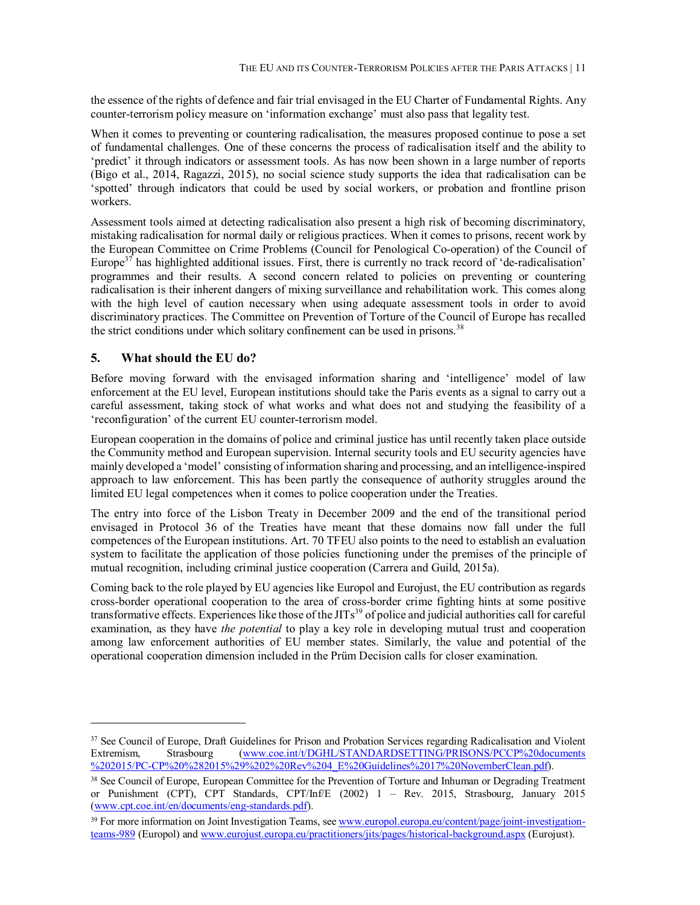the essence of the rights of defence and fair trial envisaged in the EU Charter of Fundamental Rights. Any counter-terrorism policy measure on 'information exchange' must also pass that legality test.

When it comes to preventing or countering radicalisation, the measures proposed continue to pose a set of fundamental challenges. One of these concerns the process of radicalisation itself and the ability to 'predict' it through indicators or assessment tools. As has now been shown in a large number of reports (Bigo et al., 2014, Ragazzi, 2015), no social science study supports the idea that radicalisation can be 'spotted' through indicators that could be used by social workers, or probation and frontline prison workers.

Assessment tools aimed at detecting radicalisation also present a high risk of becoming discriminatory, mistaking radicalisation for normal daily or religious practices. When it comes to prisons, recent work by the European Committee on Crime Problems (Council for Penological Co-operation) of the Council of Europe $37$  has highlighted additional issues. First, there is currently no track record of 'de-radicalisation' programmes and their results. A second concern related to policies on preventing or countering radicalisation is their inherent dangers of mixing surveillance and rehabilitation work. This comes along with the high level of caution necessary when using adequate assessment tools in order to avoid discriminatory practices. The Committee on Prevention of Torture of the Council of Europe has recalled the strict conditions under which solitary confinement can be used in prisons.<sup>38</sup>

#### **5. What should the EU do?**

-

Before moving forward with the envisaged information sharing and 'intelligence' model of law enforcement at the EU level, European institutions should take the Paris events as a signal to carry out a careful assessment, taking stock of what works and what does not and studying the feasibility of a 'reconfiguration' of the current EU counter-terrorism model.

European cooperation in the domains of police and criminal justice has until recently taken place outside the Community method and European supervision. Internal security tools and EU security agencies have mainly developed a 'model' consisting of information sharing and processing, and an intelligence-inspired approach to law enforcement. This has been partly the consequence of authority struggles around the limited EU legal competences when it comes to police cooperation under the Treaties.

The entry into force of the Lisbon Treaty in December 2009 and the end of the transitional period envisaged in Protocol 36 of the Treaties have meant that these domains now fall under the full competences of the European institutions. Art. 70 TFEU also points to the need to establish an evaluation system to facilitate the application of those policies functioning under the premises of the principle of mutual recognition, including criminal justice cooperation (Carrera and Guild, 2015a).

Coming back to the role played by EU agencies like Europol and Eurojust, the EU contribution as regards cross-border operational cooperation to the area of cross-border crime fighting hints at some positive transformative effects. Experiences like those of the JITs<sup>39</sup> of police and judicial authorities call for careful examination, as they have *the potential* to play a key role in developing mutual trust and cooperation among law enforcement authorities of EU member states. Similarly, the value and potential of the operational cooperation dimension included in the Prüm Decision calls for closer examination.

<sup>&</sup>lt;sup>37</sup> See Council of Europe, Draft Guidelines for Prison and Probation Services regarding Radicalisation and Violent Extremism, Strasbourg (www.coe.int/t/DGHL/STANDARDSETTING/PRISONS/PCCP%20documents %202015/PC-CP%20%282015%29%202%20Rev%204\_E%20Guidelines%2017%20NovemberClean.pdf).

<sup>38</sup> See Council of Europe, European Committee for the Prevention of Torture and Inhuman or Degrading Treatment or Punishment (CPT), CPT Standards, CPT/Inf/E (2002) 1 – Rev. 2015, Strasbourg, January 2015 (www.cpt.coe.int/en/documents/eng-standards.pdf).

<sup>&</sup>lt;sup>39</sup> For more information on Joint Investigation Teams, see www.europol.europa.eu/content/page/joint-investigationteams-989 (Europol) and www.eurojust.europa.eu/practitioners/jits/pages/historical-background.aspx (Eurojust).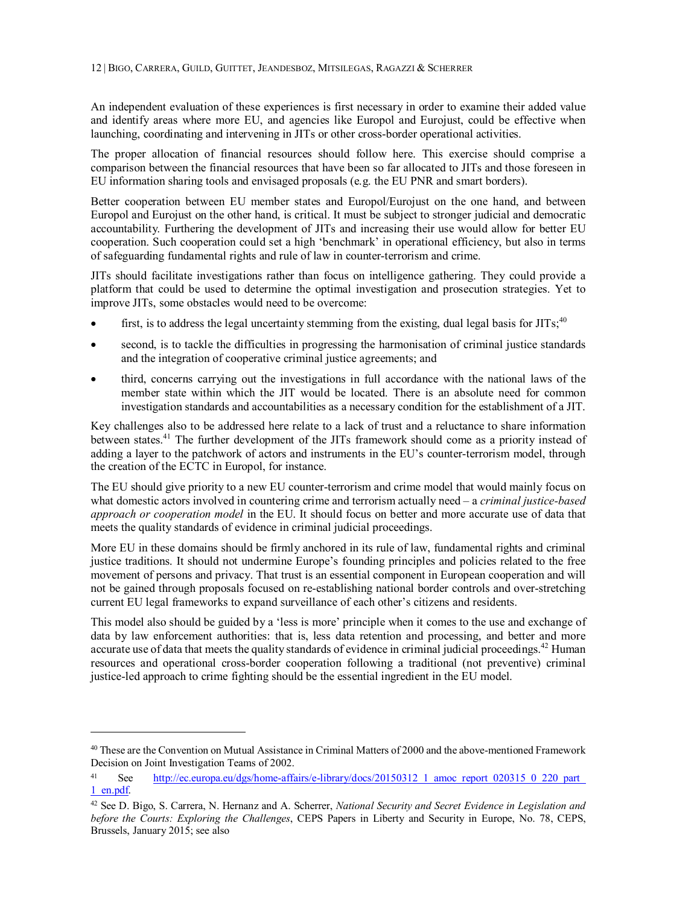An independent evaluation of these experiences is first necessary in order to examine their added value and identify areas where more EU, and agencies like Europol and Eurojust, could be effective when launching, coordinating and intervening in JITs or other cross-border operational activities.

The proper allocation of financial resources should follow here. This exercise should comprise a comparison between the financial resources that have been so far allocated to JITs and those foreseen in EU information sharing tools and envisaged proposals (e.g. the EU PNR and smart borders).

Better cooperation between EU member states and Europol/Eurojust on the one hand, and between Europol and Eurojust on the other hand, is critical. It must be subject to stronger judicial and democratic accountability. Furthering the development of JITs and increasing their use would allow for better EU cooperation. Such cooperation could set a high 'benchmark' in operational efficiency, but also in terms of safeguarding fundamental rights and rule of law in counter-terrorism and crime.

JITs should facilitate investigations rather than focus on intelligence gathering. They could provide a platform that could be used to determine the optimal investigation and prosecution strategies. Yet to improve JITs, some obstacles would need to be overcome:

- $\bullet$  first, is to address the legal uncertainty stemming from the existing, dual legal basis for JITs;<sup>40</sup>
- second, is to tackle the difficulties in progressing the harmonisation of criminal justice standards and the integration of cooperative criminal justice agreements; and
- third, concerns carrying out the investigations in full accordance with the national laws of the member state within which the JIT would be located. There is an absolute need for common investigation standards and accountabilities as a necessary condition for the establishment of a JIT.

Key challenges also to be addressed here relate to a lack of trust and a reluctance to share information between states.<sup>41</sup> The further development of the JITs framework should come as a priority instead of adding a layer to the patchwork of actors and instruments in the EU's counter-terrorism model, through the creation of the ECTC in Europol, for instance.

The EU should give priority to a new EU counter-terrorism and crime model that would mainly focus on what domestic actors involved in countering crime and terrorism actually need – a *criminal justice-based approach or cooperation model* in the EU. It should focus on better and more accurate use of data that meets the quality standards of evidence in criminal judicial proceedings.

More EU in these domains should be firmly anchored in its rule of law, fundamental rights and criminal justice traditions. It should not undermine Europe's founding principles and policies related to the free movement of persons and privacy. That trust is an essential component in European cooperation and will not be gained through proposals focused on re-establishing national border controls and over-stretching current EU legal frameworks to expand surveillance of each other's citizens and residents.

This model also should be guided by a 'less is more' principle when it comes to the use and exchange of data by law enforcement authorities: that is, less data retention and processing, and better and more accurate use of data that meets the quality standards of evidence in criminal judicial proceedings.<sup>42</sup> Human resources and operational cross-border cooperation following a traditional (not preventive) criminal justice-led approach to crime fighting should be the essential ingredient in the EU model.

<sup>40</sup> These are the Convention on Mutual Assistance in Criminal Matters of 2000 and the above-mentioned Framework Decision on Joint Investigation Teams of 2002.

<sup>41</sup> See http://ec.europa.eu/dgs/home-affairs/e-library/docs/20150312 1 amoc\_report\_020315\_0\_220\_part 1\_en.pdf.

<sup>42</sup> See D. Bigo, S. Carrera, N. Hernanz and A. Scherrer, *National Security and Secret Evidence in Legislation and before the Courts: Exploring the Challenges*, CEPS Papers in Liberty and Security in Europe, No. 78, CEPS, Brussels, January 2015; see also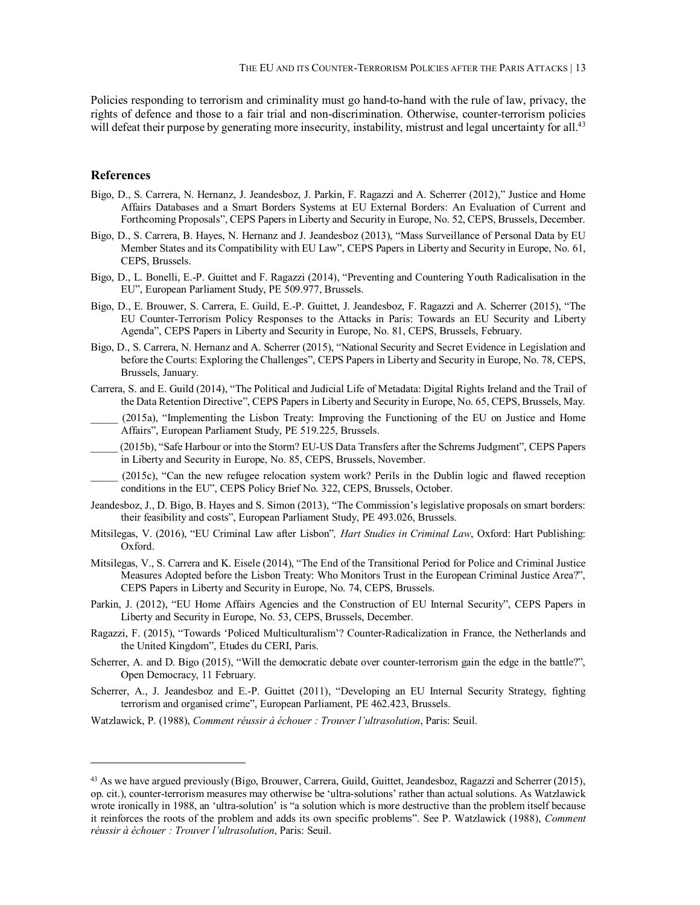Policies responding to terrorism and criminality must go hand-to-hand with the rule of law, privacy, the rights of defence and those to a fair trial and non-discrimination. Otherwise, counter-terrorism policies will defeat their purpose by generating more insecurity, instability, mistrust and legal uncertainty for all.<sup>43</sup>

#### **References**

-

- Bigo, D., S. Carrera, N. Hernanz, J. Jeandesboz, J. Parkin, F. Ragazzi and A. Scherrer (2012)," Justice and Home Affairs Databases and a Smart Borders Systems at EU External Borders: An Evaluation of Current and Forthcoming Proposals", CEPS Papers in Liberty and Security in Europe, No. 52, CEPS, Brussels, December.
- Bigo, D., S. Carrera, B. Hayes, N. Hernanz and J. Jeandesboz (2013), "Mass Surveillance of Personal Data by EU Member States and its Compatibility with EU Law", CEPS Papers in Liberty and Security in Europe, No. 61, CEPS, Brussels.
- Bigo, D., L. Bonelli, E.-P. Guittet and F. Ragazzi (2014), "Preventing and Countering Youth Radicalisation in the EU", European Parliament Study, PE 509.977, Brussels.
- Bigo, D., E. Brouwer, S. Carrera, E. Guild, E.-P. Guittet, J. Jeandesboz, F. Ragazzi and A. Scherrer (2015), "The EU Counter-Terrorism Policy Responses to the Attacks in Paris: Towards an EU Security and Liberty Agenda", CEPS Papers in Liberty and Security in Europe, No. 81, CEPS, Brussels, February.
- Bigo, D., S. Carrera, N. Hernanz and A. Scherrer (2015), "National Security and Secret Evidence in Legislation and before the Courts: Exploring the Challenges", CEPS Papers in Liberty and Security in Europe, No. 78, CEPS, Brussels, January.
- Carrera, S. and E. Guild (2014), "The Political and Judicial Life of Metadata: Digital Rights Ireland and the Trail of the Data Retention Directive", CEPS Papers in Liberty and Security in Europe, No. 65, CEPS, Brussels, May.

\_\_\_\_\_ (2015a), "Implementing the Lisbon Treaty: Improving the Functioning of the EU on Justice and Home Affairs", European Parliament Study, PE 519.225, Brussels.

\_\_\_\_\_ (2015b), "Safe Harbour or into the Storm? EU-US Data Transfers after the Schrems Judgment", CEPS Papers in Liberty and Security in Europe, No. 85, CEPS, Brussels, November.

\_\_\_\_\_ (2015c), "Can the new refugee relocation system work? Perils in the Dublin logic and flawed reception conditions in the EU", CEPS Policy Brief No. 322, CEPS, Brussels, October.

- Jeandesboz, J., D. Bigo, B. Hayes and S. Simon (2013), "The Commission's legislative proposals on smart borders: their feasibility and costs", European Parliament Study, PE 493.026, Brussels.
- Mitsilegas, V. (2016), "EU Criminal Law after Lisbon"*, Hart Studies in Criminal Law*, Oxford: Hart Publishing: Oxford.
- Mitsilegas, V., S. Carrera and K. Eisele (2014), "The End of the Transitional Period for Police and Criminal Justice Measures Adopted before the Lisbon Treaty: Who Monitors Trust in the European Criminal Justice Area?", CEPS Papers in Liberty and Security in Europe, No. 74, CEPS, Brussels.
- Parkin, J. (2012), "EU Home Affairs Agencies and the Construction of EU Internal Security", CEPS Papers in Liberty and Security in Europe, No. 53, CEPS, Brussels, December.
- Ragazzi, F. (2015), "Towards 'Policed Multiculturalism'? Counter-Radicalization in France, the Netherlands and the United Kingdom", Etudes du CERI, Paris.
- Scherrer, A. and D. Bigo (2015), "Will the democratic debate over counter-terrorism gain the edge in the battle?", Open Democracy, 11 February.
- Scherrer, A., J. Jeandesboz and E.-P. Guittet (2011), "Developing an EU Internal Security Strategy, fighting terrorism and organised crime", European Parliament, PE 462.423, Brussels.
- Watzlawick, P. (1988), *Comment réussir à échouer : Trouver l'ultrasolution*, Paris: Seuil.

<sup>43</sup> As we have argued previously (Bigo, Brouwer, Carrera, Guild, Guittet, Jeandesboz, Ragazzi and Scherrer (2015), op. cit.), counter-terrorism measures may otherwise be 'ultra-solutions' rather than actual solutions. As Watzlawick wrote ironically in 1988, an 'ultra-solution' is "a solution which is more destructive than the problem itself because it reinforces the roots of the problem and adds its own specific problems". See P. Watzlawick (1988), *Comment réussir à échouer : Trouver l'ultrasolution*, Paris: Seuil.